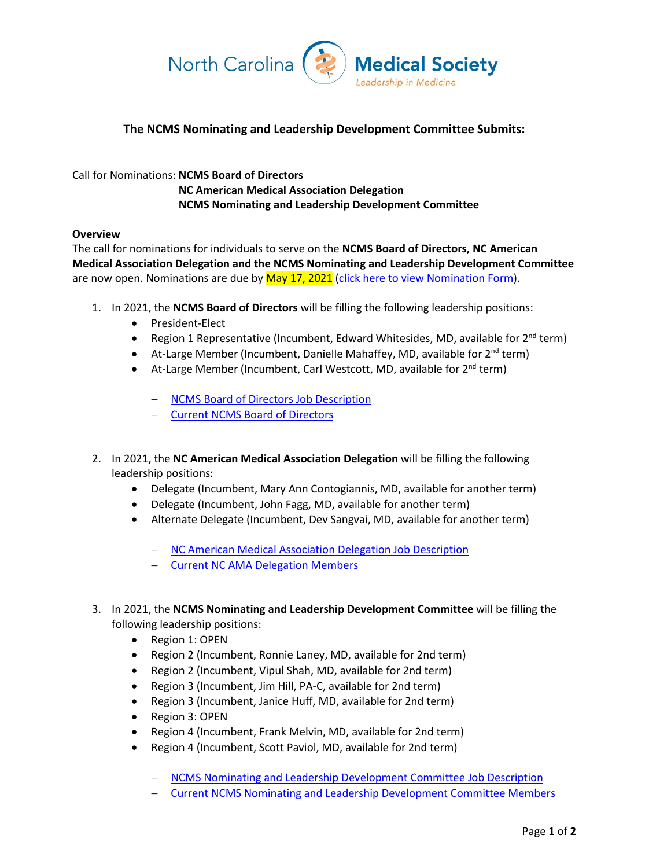

## **The NCMS Nominating and Leadership Development Committee Submits:**

## Call for Nominations: **NCMS Board of Directors**

**NC American Medical Association Delegation NCMS Nominating and Leadership Development Committee**

## **Overview**

The call for nominations for individuals to serve on the **NCMS Board of Directors, NC American Medical Association Delegation and the NCMS Nominating and Leadership Development Committee** are now open. Nominations are due by  $May 17, 2021$  [\(click here to view Nomination Form\)](https://www.ncmedsoc.org/wp-content/uploads/2021/01/2021-Nomination-Form-fillable.pdf).

- 1. In 2021, the **NCMS Board of Directors** will be filling the following leadership positions:
	- President-Elect
	- Region 1 Representative (Incumbent, Edward Whitesides, MD, available for  $2^{nd}$  term)
	- At-Large Member (Incumbent, Danielle Mahaffey, MD, available for  $2^{nd}$  term)
	- At-Large Member (Incumbent, Carl Westcott, MD, available for 2<sup>nd</sup> term)
		- − [NCMS Board of Directors Job Description](https://www.ncmedsoc.org/wp-content/uploads/2021/01/BOD-Job-Description.pdf)
		- − [Current NCMS Board of Directors](https://www.ncmedsoc.org/wp-content/uploads/2021/01/2020-2021-BOD-Contact-List-MR.pdf)
- 2. In 2021, the **NC American Medical Association Delegation** will be filling the following leadership positions:
	- Delegate (Incumbent, Mary Ann Contogiannis, MD, available for another term)
	- Delegate (Incumbent, John Fagg, MD, available for another term)
	- Alternate Delegate (Incumbent, Dev Sangvai, MD, available for another term)
		- − [NC American Medical Association Delegation Job Description](https://www.ncmedsoc.org/wp-content/uploads/2021/01/NC-AMA-Delegate-Job-Description.pdf)
		- − [Current NC AMA Delegation Members](https://www.ncmedsoc.org/wp-content/uploads/2021/01/2021-AMA-Delegates-Alternate-Delegates-MR.pdf)
- 3. In 2021, the **NCMS Nominating and Leadership Development Committee** will be filling the following leadership positions:
	- Region 1: OPEN
	- Region 2 (Incumbent, Ronnie Laney, MD, available for 2nd term)
	- Region 2 (Incumbent, Vipul Shah, MD, available for 2nd term)
	- Region 3 (Incumbent, Jim Hill, PA-C, available for 2nd term)
	- Region 3 (Incumbent, Janice Huff, MD, available for 2nd term)
	- Region 3: OPEN
	- Region 4 (Incumbent, Frank Melvin, MD, available for 2nd term)
	- Region 4 (Incumbent, Scott Paviol, MD, available for 2nd term)
		- − [NCMS Nominating and Leadership Development Committee Job Description](https://www.ncmedsoc.org/wp-content/uploads/2021/01/NLDC-Job-Description.pdf)
		- − [Current NCMS Nominating and Leadership Development Committee Members](https://www.ncmedsoc.org/wp-content/uploads/2021/01/NLDC-Contact-Info-for-MR.pdf)